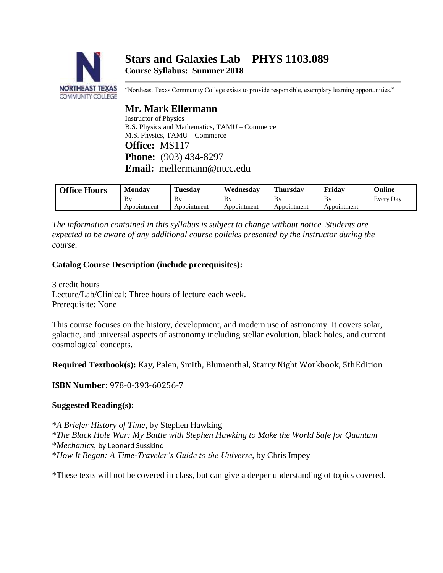# **Stars and Galaxies Lab – PHYS 1103.089 Course Syllabus: Summer 2018**



"Northeast Texas Community College exists to provide responsible, exemplary learning opportunities."

## **Mr. Mark Ellermann**

Instructor of Physics B.S. Physics and Mathematics, TAMU – Commerce M.S. Physics, TAMU – Commerce **Office:** MS117 **Phone:** (903) 434-8297 **Email:** [mellermann@ntcc.edu](mailto:mellermann@ntcc.edu)

| <b>Office Hours</b> | <b>Monday</b>     | l'uesdav          | Wednesdav         | Thursday          | Fridav            | Online    |
|---------------------|-------------------|-------------------|-------------------|-------------------|-------------------|-----------|
|                     | By<br>Appointment | B٧<br>Appointment | B٧<br>Appointment | Bv<br>Appointment | Bv<br>Appointment | Every Day |

*The information contained in this syllabus is subject to change without notice. Students are expected to be aware of any additional course policies presented by the instructor during the course.*

## **Catalog Course Description (include prerequisites):**

3 credit hours Lecture/Lab/Clinical: Three hours of lecture each week. Prerequisite: None

This course focuses on the history, development, and modern use of astronomy. It covers solar, galactic, and universal aspects of astronomy including stellar evolution, black holes, and current cosmological concepts.

**Required Textbook(s):** Kay, Palen, Smith, Blumenthal, Starry Night Workbook, 5thEdition

**ISBN Number**: 978-0-393-60256-7

## **Suggested Reading(s):**

\**A Briefer History of Time*, by Stephen Hawking \**The Black Hole War: My Battle with Stephen Hawking to Make the World Safe for Quantum*  \**Mechanics*, by Leonard Susskind \**How It Began: A Time-Traveler's Guide to the Universe*, by Chris Impey

\*These texts will not be covered in class, but can give a deeper understanding of topics covered.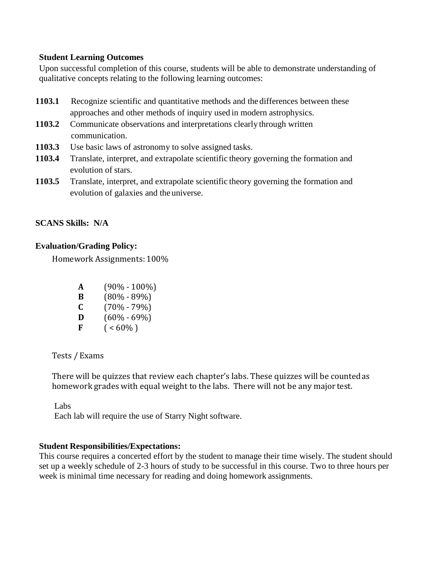#### **Student Learning Outcomes**

Upon successful completion of this course, students will be able to demonstrate understanding of qualitative concepts relating to the following learning outcomes:

- **1103.1** Recognize scientific and quantitative methods and the differences between these approaches and other methods of inquiry used in modern astrophysics.
- **1103.2** Communicate observations and interpretations clearly through written communication.
- **1103.3** Use basic laws of astronomy to solve assigned tasks.
- **1103.4** Translate, interpret, and extrapolate scientific theory governing the formation and evolution of stars.
- **1103.5** Translate, interpret, and extrapolate scientific theory governing the formation and evolution of galaxies and the universe.

## **SCANS Skills: N/A**

## **Evaluation/Grading Policy:**

Homework Assignments: 100%

| A | $(90\% - 100\%)$ |
|---|------------------|
| B | $(80\% - 89\%)$  |
| C | $(70\% - 79\%)$  |
| D | $(60\% - 69\%)$  |
| F | $($ < 60%)       |

Tests / Exams

There will be quizzes that review each chapter's labs. These quizzes will be countedas homework grades with equal weight to the labs. There will not be any major test.

Labs

Each lab will require the use of Starry Night software.

## **Student Responsibilities/Expectations:**

This course requires a concerted effort by the student to manage their time wisely. The student should set up a weekly schedule of 2-3 hours of study to be successful in this course. Two to three hours per week is minimal time necessary for reading and doing homework assignments.